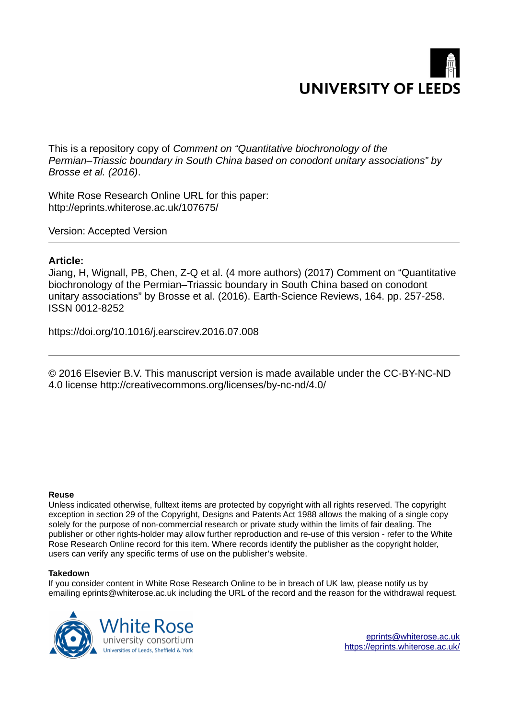

This is a repository copy of *Comment on "Quantitative biochronology of the Permian–Triassic boundary in South China based on conodont unitary associations" by Brosse et al. (2016)*.

White Rose Research Online URL for this paper: http://eprints.whiterose.ac.uk/107675/

Version: Accepted Version

#### **Article:**

Jiang, H, Wignall, PB, Chen, Z-Q et al. (4 more authors) (2017) Comment on "Quantitative biochronology of the Permian–Triassic boundary in South China based on conodont unitary associations" by Brosse et al. (2016). Earth-Science Reviews, 164. pp. 257-258. ISSN 0012-8252

https://doi.org/10.1016/j.earscirev.2016.07.008

© 2016 Elsevier B.V. This manuscript version is made available under the CC-BY-NC-ND 4.0 license http://creativecommons.org/licenses/by-nc-nd/4.0/

#### **Reuse**

Unless indicated otherwise, fulltext items are protected by copyright with all rights reserved. The copyright exception in section 29 of the Copyright, Designs and Patents Act 1988 allows the making of a single copy solely for the purpose of non-commercial research or private study within the limits of fair dealing. The publisher or other rights-holder may allow further reproduction and re-use of this version - refer to the White Rose Research Online record for this item. Where records identify the publisher as the copyright holder, users can verify any specific terms of use on the publisher's website.

#### **Takedown**

If you consider content in White Rose Research Online to be in breach of UK law, please notify us by emailing eprints@whiterose.ac.uk including the URL of the record and the reason for the withdrawal request.

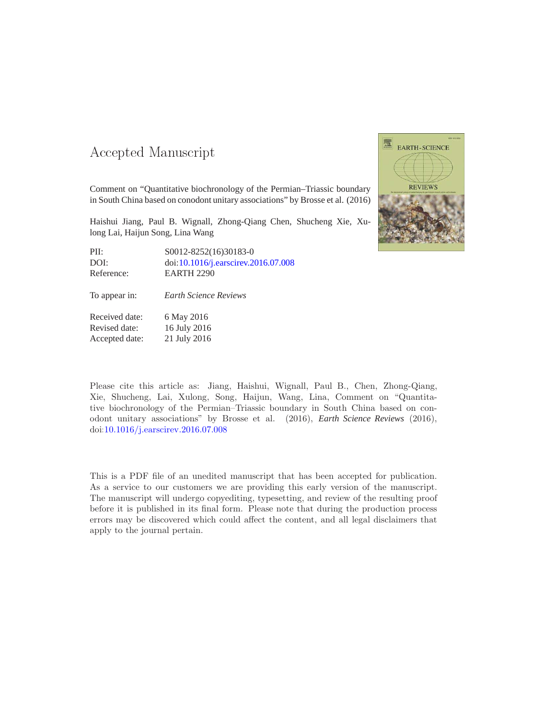#### 

Comment on "Quantitative biochronology of the Permian–Triassic boundary in South China based on conodont unitary associations" by Brosse et al. (2016)

Haishui Jiang, Paul B. Wignall, Zhong-Qiang Chen, Shucheng Xie, Xulong Lai, Haijun Song, Lina Wang

| PII:       | S0012-8252(16)30183-0               |
|------------|-------------------------------------|
| DOI:       | doi:10.1016/j.earscirev.2016.07.008 |
| Reference: | <b>EARTH 2290</b>                   |

To appear in: *Earth Science Reviews*

Received date: 6 May 2016 Revised date: 16 July 2016 Accepted date: 21 July 2016



Please cite this article as: Jiang, Haishui, Wignall, Paul B., Chen, Zhong-Qiang, Xie, Shucheng, Lai, Xulong, Song, Haijun, Wang, Lina, Comment on "Quantitative biochronology of the Permian–Triassic boundary in South China based on conodont unitary associations" by Brosse et al. (2016), *Earth Science Reviews* (2016), doi[:10.1016/j.earscirev.2016.07.008](http://dx.doi.org/10.1016/j.earscirev.2016.07.008)

This is a PDF file of an unedited manuscript that has been accepted for publication. As a service to our customers we are providing this early version of the manuscript. The manuscript will undergo copyediting, typesetting, and review of the resulting proof before it is published in its final form. Please note that during the production process errors may be discovered which could affect the content, and all legal disclaimers that apply to the journal pertain.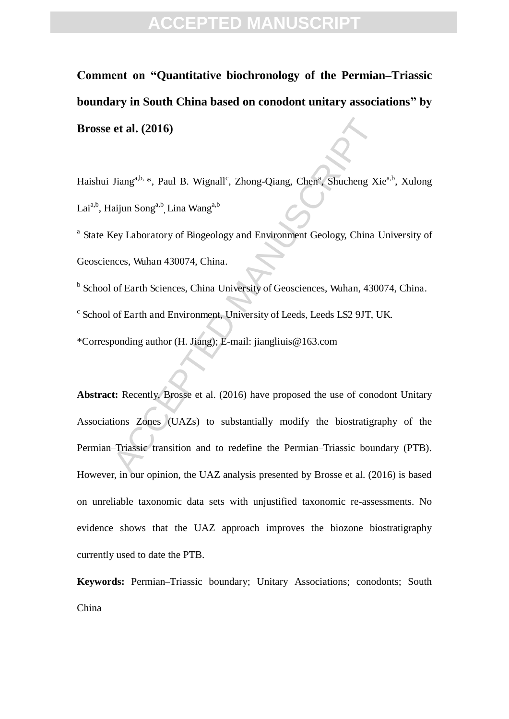**Comment on "Quantitative biochronology of the Permian–Triassic boundary in South China based on conodont unitary associations" by Brosse et al. (2016)** 

Haishui Jiang<sup>a,b,</sup> \*, Paul B. Wignall<sup>c</sup>, Zhong-Qiang, Chen<sup>a</sup>, Shucheng Xie<sup>a,b</sup>, Xulong Lai<sup>a,b</sup>, Haijun Song<sup>a,b</sup>, Lina Wang<sup>a,b</sup>

<sup>a</sup> State Key Laboratory of Biogeology and Environment Geology, China University of Geosciences, Wuhan 430074, China.

<sup>b</sup> School of Earth Sciences, China University of Geosciences, Wuhan, 430074, China.

c School of Earth and Environment, University of Leeds, Leeds LS2 9JT, UK.

\*Corresponding author (H. Jiang); E-mail: jiangliuis@163.com

et al. (2016)<br>
Jiang<sup>a,h, \*</sup>, Paul B. Wignall<sup>e</sup>, Zhong-Qiang, Chen<sup>a</sup>, Shucheng Xi<br>
aijun Song<sup>a,b</sup>, Lina Wang<sup>a,b</sup><br>
digition Song<sup>a,b</sup>, Lina Wang<sup>a,b</sup><br>
digition Song<sup>a,b</sup>, Lina Wang<sup>a,b</sup><br>
ey Laboratory of Biogeology and **Abstract:** Recently, Brosse et al. (2016) have proposed the use of conodont Unitary Associations Zones (UAZs) to substantially modify the biostratigraphy of the Permian–Triassic transition and to redefine the Permian–Triassic boundary (PTB). However, in our opinion, the UAZ analysis presented by Brosse et al. (2016) is based on unreliable taxonomic data sets with unjustified taxonomic re-assessments. No evidence shows that the UAZ approach improves the biozone biostratigraphy currently used to date the PTB.

**Keywords:** Permian–Triassic boundary; Unitary Associations; conodonts; South China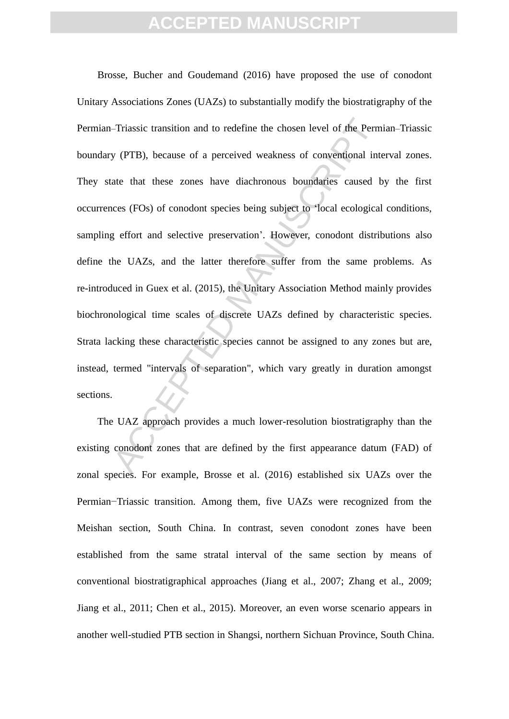-Triassic transition and to redefine the chosen level of the Perm<br>y (PTB), because of a perceived weakness of conventional intate that these zones have diachronous boundaries caused  $l$ <br>tecs (FOs) of conodont species bein Brosse, Bucher and Goudemand (2016) have proposed the use of conodont Unitary Associations Zones (UAZs) to substantially modify the biostratigraphy of the Permian–Triassic transition and to redefine the chosen level of the Permian–Triassic boundary (PTB), because of a perceived weakness of conventional interval zones. They state that these zones have diachronous boundaries caused by the first occurrences (FOs) of conodont species being subject to 'local ecological conditions, sampling effort and selective preservation'. However, conodont distributions also define the UAZs, and the latter therefore suffer from the same problems. As re-introduced in Guex et al. (2015), the Unitary Association Method mainly provides biochronological time scales of discrete UAZs defined by characteristic species. Strata lacking these characteristic species cannot be assigned to any zones but are, instead, termed "intervals of separation", which vary greatly in duration amongst sections.

The UAZ approach provides a much lower-resolution biostratigraphy than the existing conodont zones that are defined by the first appearance datum (FAD) of zonal species. For example, Brosse et al. (2016) established six UAZs over the Permian−Triassic transition. Among them, five UAZs were recognized from the Meishan section, South China. In contrast, seven conodont zones have been established from the same stratal interval of the same section by means of conventional biostratigraphical approaches (Jiang et al., 2007; Zhang et al., 2009; Jiang et al., 2011; Chen et al., 2015). Moreover, an even worse scenario appears in another well-studied PTB section in Shangsi, northern Sichuan Province, South China.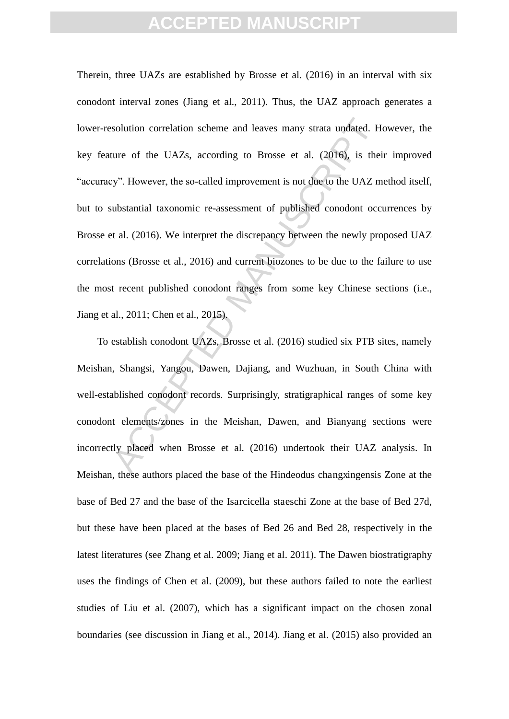solution correlation scheme and leaves many strata undated. Here of the UAZs, according to Brosse et al. (2016), is the ey". However, the so-called improvement is not due to the UAZ m ubstantial taxonomic re-assessment of Therein, three UAZs are established by Brosse et al. (2016) in an interval with six conodont interval zones (Jiang et al., 2011). Thus, the UAZ approach generates a lower-resolution correlation scheme and leaves many strata undated. However, the key feature of the UAZs, according to Brosse et al. (2016), is their improved "accuracy". However, the so-called improvement is not due to the UAZ method itself, but to substantial taxonomic re-assessment of published conodont occurrences by Brosse et al. (2016). We interpret the discrepancy between the newly proposed UAZ correlations (Brosse et al., 2016) and current biozones to be due to the failure to use the most recent published conodont ranges from some key Chinese sections (i.e., Jiang et al., 2011; Chen et al., 2015).

To establish conodont UAZs, Brosse et al. (2016) studied six PTB sites, namely Meishan, Shangsi, Yangou, Dawen, Dajiang, and Wuzhuan, in South China with well-established conodont records. Surprisingly, stratigraphical ranges of some key conodont elements/zones in the Meishan, Dawen, and Bianyang sections were incorrectly placed when Brosse et al. (2016) undertook their UAZ analysis. In Meishan, these authors placed the base of the Hindeodus changxingensis Zone at the base of Bed 27 and the base of the Isarcicella staeschi Zone at the base of Bed 27d, but these have been placed at the bases of Bed 26 and Bed 28, respectively in the latest literatures (see Zhang et al. 2009; Jiang et al. 2011). The Dawen biostratigraphy uses the findings of Chen et al. (2009), but these authors failed to note the earliest studies of Liu et al. (2007), which has a significant impact on the chosen zonal boundaries (see discussion in Jiang et al., 2014). Jiang et al. (2015) also provided an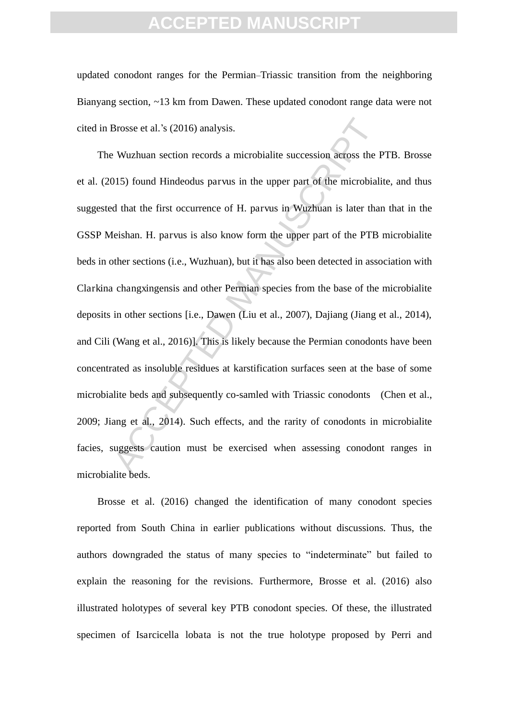updated conodont ranges for the Permian–Triassic transition from the neighboring Bianyang section, ~13 km from Dawen. These updated conodont range data were not cited in Brosse et al.'s (2016) analysis.

Brosse et al.'s (2016) analysis.<br>
Wuzhuan section records a microbialite succession across the I<br>
D15) found Hindeodus parvus in the upper part of the microbialid<br>
d that the first occurrence of H. parvus in Wuzhuan is lat The Wuzhuan section records a microbialite succession across the PTB. Brosse et al. (2015) found Hindeodus parvus in the upper part of the microbialite, and thus suggested that the first occurrence of H. parvus in Wuzhuan is later than that in the GSSP Meishan. H. parvus is also know form the upper part of the PTB microbialite beds in other sections (i.e., Wuzhuan), but it has also been detected in association with Clarkina changxingensis and other Permian species from the base of the microbialite deposits in other sections [i.e., Dawen (Liu et al., 2007), Dajiang (Jiang et al., 2014), and Cili (Wang et al., 2016)]. This is likely because the Permian conodonts have been concentrated as insoluble residues at karstification surfaces seen at the base of some microbialite beds and subsequently co-samled with Triassic conodonts (Chen et al., 2009; Jiang et al., 2014). Such effects, and the rarity of conodonts in microbialite facies, suggests caution must be exercised when assessing conodont ranges in microbialite beds.

Brosse et al. (2016) changed the identification of many conodont species reported from South China in earlier publications without discussions. Thus, the authors downgraded the status of many species to "indeterminate" but failed to explain the reasoning for the revisions. Furthermore, Brosse et al. (2016) also illustrated holotypes of several key PTB conodont species. Of these, the illustrated specimen of Isarcicella lobata is not the true holotype proposed by Perri and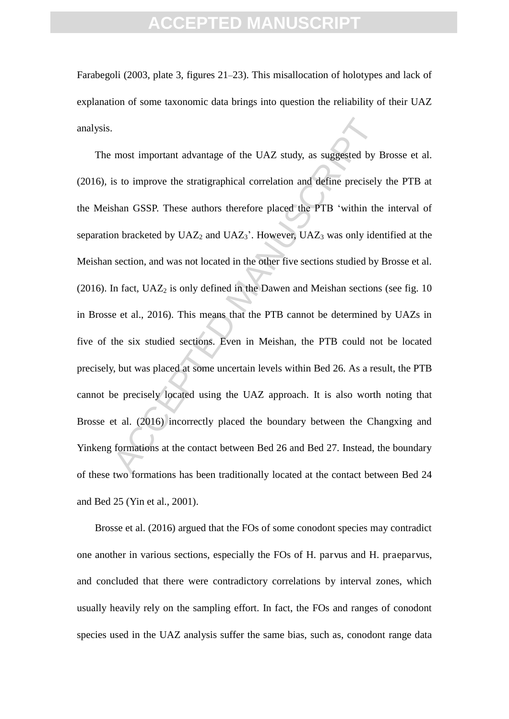Farabegoli (2003, plate 3, figures 21–23). This misallocation of holotypes and lack of explanation of some taxonomic data brings into question the reliability of their UAZ analysis.

most important advantage of the UAZ study, as suggested by l<br>is to improve the stratigraphical correlation and define precisely<br>shan GSSP. These authors therefore placed the PTB 'within the<br>no hracketed by UAZ<sub>2</sub> and UAZ<sub></sub> The most important advantage of the UAZ study, as suggested by Brosse et al. (2016), is to improve the stratigraphical correlation and define precisely the PTB at the Meishan GSSP. These authors therefore placed the PTB 'within the interval of separation bracketed by  $UAZ_2$  and  $UAZ_3$ . However,  $UAZ_3$  was only identified at the Meishan section, and was not located in the other five sections studied by Brosse et al. (2016). In fact,  $UAZ_2$  is only defined in the Dawen and Meishan sections (see fig. 10) in Brosse et al., 2016). This means that the PTB cannot be determined by UAZs in five of the six studied sections. Even in Meishan, the PTB could not be located precisely, but was placed at some uncertain levels within Bed 26. As a result, the PTB cannot be precisely located using the UAZ approach. It is also worth noting that Brosse et al. (2016) incorrectly placed the boundary between the Changxing and Yinkeng formations at the contact between Bed 26 and Bed 27. Instead, the boundary of these two formations has been traditionally located at the contact between Bed 24 and Bed 25 (Yin et al., 2001).

 Brosse et al. (2016) argued that the FOs of some conodont species may contradict one another in various sections, especially the FOs of H. parvus and H. praeparvus, and concluded that there were contradictory correlations by interval zones, which usually heavily rely on the sampling effort. In fact, the FOs and ranges of conodont species used in the UAZ analysis suffer the same bias, such as, conodont range data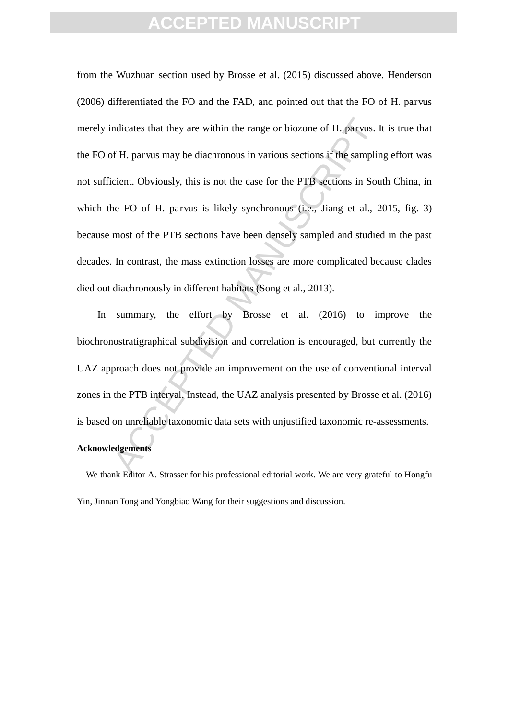ndicates that they are within the range or biozone of H. parvus. I<br>
If H. parvus may be diachronous in various sections if the samplin<br>
cient. Obviously, this is not the case for the PTB sections in Sou<br>
ne FO of H. parvus from the Wuzhuan section used by Brosse et al. (2015) discussed above. Henderson (2006) differentiated the FO and the FAD, and pointed out that the FO of H. parvus merely indicates that they are within the range or biozone of H. parvus. It is true that the FO of H. parvus may be diachronous in various sections if the sampling effort was not sufficient. Obviously, this is not the case for the PTB sections in South China, in which the FO of H. parvus is likely synchronous (i.e., Jiang et al., 2015, fig. 3) because most of the PTB sections have been densely sampled and studied in the past decades. In contrast, the mass extinction losses are more complicated because clades died out diachronously in different habitats (Song et al., 2013).

In summary, the effort by Brosse et al. (2016) to improve the biochronostratigraphical subdivision and correlation is encouraged, but currently the UAZ approach does not provide an improvement on the use of conventional interval zones in the PTB interval. Instead, the UAZ analysis presented by Brosse et al. (2016) is based on unreliable taxonomic data sets with unjustified taxonomic re-assessments. **Acknowledgements**

We thank Editor A. Strasser for his professional editorial work. We are very grateful to Hongfu Yin, Jinnan Tong and Yongbiao Wang for their suggestions and discussion.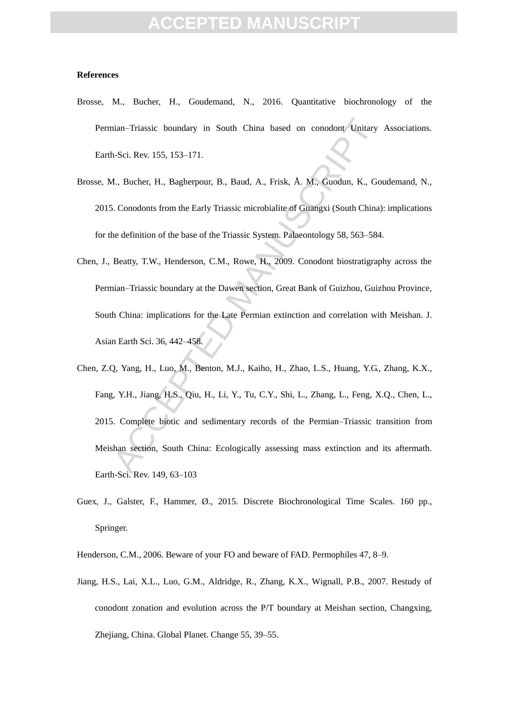#### **References**

- Brosse, M., Bucher, H., Goudemand, N., 2016. Quantitative biochronology of the Permian–Triassic boundary in South China based on conodont Unitary Associations. Earth-Sci. Rev. 155, 153–171.
- Brosse, M., Bucher, H., Bagherpour, B., Baud, A., Frisk, Å. M., Guodun, K., Goudemand, N., 2015. Conodonts from the Early Triassic microbialite of Guangxi (South China): implications for the definition of the base of the Triassic System. Palaeontology 58, 563–584.
- Chen, J., Beatty, T.W., Henderson, C.M., Rowe, H., 2009. Conodont biostratigraphy across the Permian–Triassic boundary at the Dawen section, Great Bank of Guizhou, Guizhou Province, South China: implications for the Late Permian extinction and correlation with Meishan. J. Asian Earth Sci. 36, 442–458.
- nian–Triassic boundary in South China based on conodont Unitary<br>
16-Sci. Rev. 155, 153–171.<br>
1., Bucher, H., Bagherpour, B., Baud, A., Frisk, Â. M., Guodun, K., Go.<br>
5. Conodonts from the Early Triassic microbialite of Gua Chen, Z.Q, Yang, H., Luo, M., Benton, M.J., Kaiho, H., Zhao, L.S., Huang, Y.G., Zhang, K.X., Fang, Y.H., Jiang, H.S., Qiu, H., Li, Y., Tu, C.Y., Shi, L., Zhang, L., Feng, X.Q., Chen, L., 2015. Complete biotic and sedimentary records of the Permian–Triassic transition from Meishan section, South China: Ecologically assessing mass extinction and its aftermath. Earth-Sci. Rev. 149, 63–103
- Guex, J., Galster, F., Hammer, Ø., 2015. Discrete Biochronological Time Scales. 160 pp., Springer.

Henderson, C.M., 2006. Beware of your FO and beware of FAD. Permophiles 47, 8–9.

Jiang, H.S., Lai, X.L., Luo, G.M., Aldridge, R., Zhang, K.X., Wignall, P.B., 2007. Restudy of conodont zonation and evolution across the P/T boundary at Meishan section, Changxing, Zhejiang, China. Global Planet. Change 55, 39–55.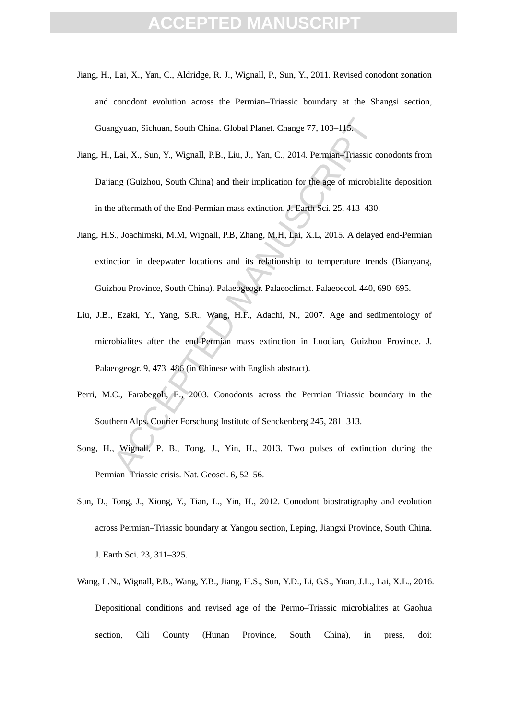- Jiang, H., Lai, X., Yan, C., Aldridge, R. J., Wignall, P., Sun, Y., 2011. Revised conodont zonation and conodont evolution across the Permian–Triassic boundary at the Shangsi section, Guangyuan, Sichuan, South China. Global Planet. Change 77, 103–115.
- Jiang, H., Lai, X., Sun, Y., Wignall, P.B., Liu, J., Yan, C., 2014. Permian–Triassic conodonts from Dajiang (Guizhou, South China) and their implication for the age of microbialite deposition in the aftermath of the End-Permian mass extinction. J. Earth Sci. 25, 413–430.
- ngyuan, Sichuan, South China. Global Planet. Change 77, 103–115.<br>
Lai, X., Sun, Y., Wignall, P.B., Liu, J., Yan, C., 2014. Permian–Triassic ecang (Guizhou, South China) and their implication for the age of microbial<br>
e aft Jiang, H.S., Joachimski, M.M, Wignall, P.B, Zhang, M.H, Lai, X.L, 2015. A delayed end-Permian extinction in deepwater locations and its relationship to temperature trends (Bianyang, Guizhou Province, South China). Palaeogeogr. Palaeoclimat. Palaeoecol. 440, 690–695.
- Liu, J.B., Ezaki, Y., Yang, S.R., Wang, H.F., Adachi, N., 2007. Age and sedimentology of microbialites after the end-Permian mass extinction in Luodian, Guizhou Province. J. Palaeogeogr. 9, 473–486 (in Chinese with English abstract).
- Perri, M.C., Farabegoli, E., 2003. Conodonts across the Permian–Triassic boundary in the Southern Alps. Courier Forschung Institute of Senckenberg 245, 281–313.
- Song, H., Wignall, P. B., Tong, J., Yin, H., 2013. Two pulses of extinction during the Permian–Triassic crisis. Nat. Geosci. 6, 52–56.
- Sun, D., Tong, J., Xiong, Y., Tian, L., Yin, H., 2012. Conodont biostratigraphy and evolution across Permian–Triassic boundary at Yangou section, Leping, Jiangxi Province, South China. J. Earth Sci. 23, 311–325.
- Wang, L.N., Wignall, P.B., Wang, Y.B., Jiang, H.S., Sun, Y.D., Li, G.S., Yuan, J.L., Lai, X.L., 2016. Depositional conditions and revised age of the Permo–Triassic microbialites at Gaohua section, Cili County (Hunan Province, South China), in press, doi: